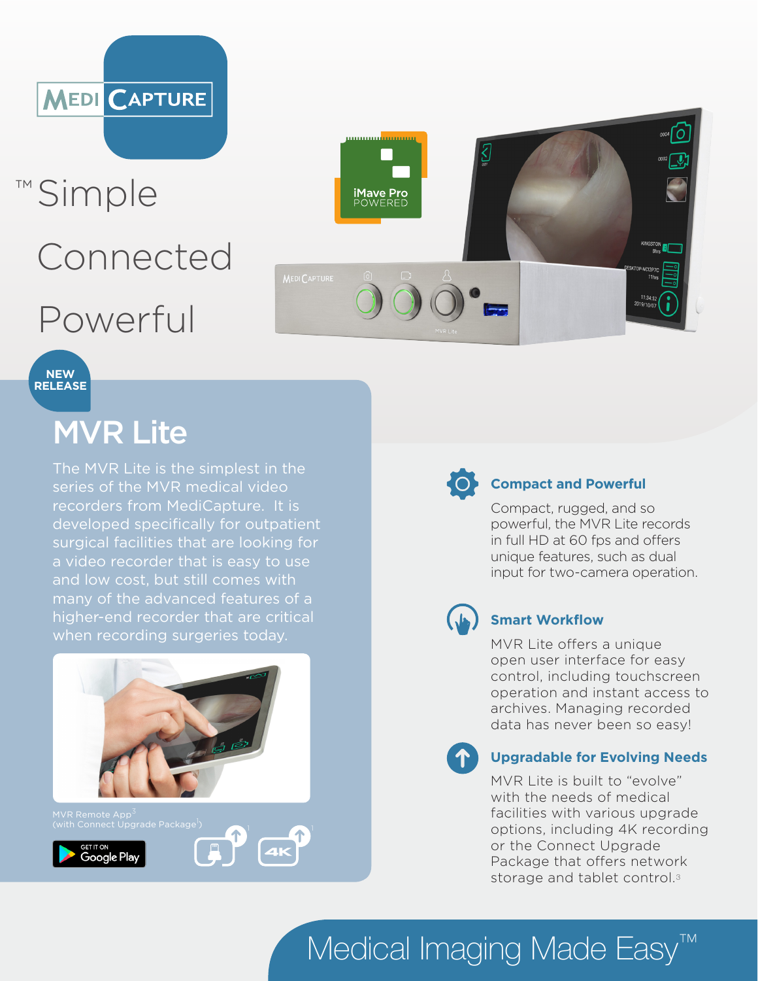

## ™ Simple Connected Powerful

# <u>mmundumum</u> **iMave Pro**<br>POWERED KINGSTON<br>Bhrs



## MVR Lite

The MVR Lite is the simplest in the series of the MVR medical video recorders from MediCapture. It is developed specifically for outpatient surgical facilities that are looking for a video recorder that is easy to use and low cost, but still comes with many of the advanced features of a higher-end recorder that are critical when recording surgeries today.







#### **Compact and Powerful**

Compact, rugged, and so powerful, the MVR Lite records in full HD at 60 fps and offers unique features, such as dual input for two-camera operation.



### **Smart Workflow**

MVR Lite offers a unique open user interface for easy control, including touchscreen operation and instant access to archives. Managing recorded data has never been so easy!



#### **Upgradable for Evolving Needs**

MVR Lite is built to "evolve" with the needs of medical facilities with various upgrade options, including 4K recording or the Connect Upgrade Package that offers network storage and tablet control.<sup>3</sup>

Medical Imaging Made Easy<sup>™</sup>